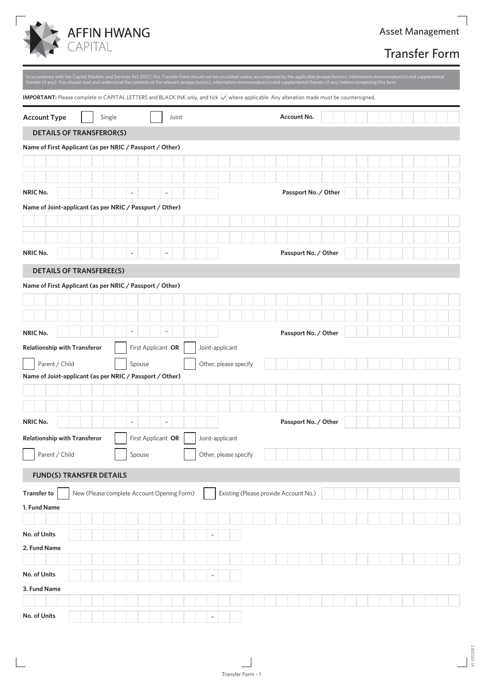

## Transfer Form

|                                                          |                                                      |                                       | In accordance with the Capital Markets and Services Act 2007, this Transfer Form should not be circulated unless accompanied by the applicable prospectus(es), information memorandum(s) and supplemental<br>thereto (if any). You should read and understand the contents of the relevant prospectus(es), information memorandum(s) and supplemental thereto (if any) before completing this form. |  |
|----------------------------------------------------------|------------------------------------------------------|---------------------------------------|-----------------------------------------------------------------------------------------------------------------------------------------------------------------------------------------------------------------------------------------------------------------------------------------------------------------------------------------------------------------------------------------------------|--|
|                                                          |                                                      |                                       | <b>IMPORTANT:</b> Please complete in CAPITAL LETTERS and BLACK INK only, and tick $\sqrt{}$ where applicable. Any alteration made must be countersigned.                                                                                                                                                                                                                                            |  |
| <b>Account Type</b><br>Single                            | Joint                                                |                                       | Account No.                                                                                                                                                                                                                                                                                                                                                                                         |  |
| <b>DETAILS OF TRANSFEROR(S)</b>                          |                                                      |                                       |                                                                                                                                                                                                                                                                                                                                                                                                     |  |
| Name of First Applicant (as per NRIC / Passport / Other) |                                                      |                                       |                                                                                                                                                                                                                                                                                                                                                                                                     |  |
|                                                          |                                                      |                                       |                                                                                                                                                                                                                                                                                                                                                                                                     |  |
|                                                          |                                                      |                                       |                                                                                                                                                                                                                                                                                                                                                                                                     |  |
| <b>NRIC No.</b>                                          |                                                      |                                       | Passport No. / Other                                                                                                                                                                                                                                                                                                                                                                                |  |
| Name of Joint-applicant (as per NRIC / Passport / Other) |                                                      |                                       |                                                                                                                                                                                                                                                                                                                                                                                                     |  |
|                                                          |                                                      |                                       |                                                                                                                                                                                                                                                                                                                                                                                                     |  |
|                                                          |                                                      |                                       |                                                                                                                                                                                                                                                                                                                                                                                                     |  |
| <b>NRIC No.</b>                                          | $\overline{\phantom{a}}$<br>$\overline{\phantom{a}}$ |                                       | Passport No. / Other                                                                                                                                                                                                                                                                                                                                                                                |  |
| <b>DETAILS OF TRANSFEREE(S)</b>                          |                                                      |                                       |                                                                                                                                                                                                                                                                                                                                                                                                     |  |
| Name of First Applicant (as per NRIC / Passport / Other) |                                                      |                                       |                                                                                                                                                                                                                                                                                                                                                                                                     |  |
|                                                          |                                                      |                                       |                                                                                                                                                                                                                                                                                                                                                                                                     |  |
|                                                          |                                                      |                                       |                                                                                                                                                                                                                                                                                                                                                                                                     |  |
|                                                          |                                                      |                                       |                                                                                                                                                                                                                                                                                                                                                                                                     |  |
| NRIC No.                                                 | $\overline{\phantom{a}}$<br>$\overline{a}$           |                                       | Passport No. / Other                                                                                                                                                                                                                                                                                                                                                                                |  |
| <b>Relationship with Transferor</b>                      | First Applicant OR                                   | Joint-applicant                       |                                                                                                                                                                                                                                                                                                                                                                                                     |  |
| Parent / Child                                           | Spouse                                               | Other, please specify                 |                                                                                                                                                                                                                                                                                                                                                                                                     |  |
| Name of Joint-applicant (as per NRIC / Passport / Other) |                                                      |                                       |                                                                                                                                                                                                                                                                                                                                                                                                     |  |
|                                                          |                                                      |                                       |                                                                                                                                                                                                                                                                                                                                                                                                     |  |
|                                                          |                                                      |                                       |                                                                                                                                                                                                                                                                                                                                                                                                     |  |
| <b>NRIC No.</b>                                          |                                                      |                                       | Passport No. / Other                                                                                                                                                                                                                                                                                                                                                                                |  |
| <b>Relationship with Transferor</b>                      | First Applicant OR                                   | Joint-applicant                       |                                                                                                                                                                                                                                                                                                                                                                                                     |  |
| Parent / Child                                           | Spouse                                               | Other, please specify                 |                                                                                                                                                                                                                                                                                                                                                                                                     |  |
| <b>FUND(S) TRANSFER DETAILS</b>                          |                                                      |                                       |                                                                                                                                                                                                                                                                                                                                                                                                     |  |
| <b>Transfer to</b>                                       | New (Please complete Account Opening Form)           | Existing (Please provide Account No.) |                                                                                                                                                                                                                                                                                                                                                                                                     |  |
| 1. Fund Name                                             |                                                      |                                       |                                                                                                                                                                                                                                                                                                                                                                                                     |  |
|                                                          |                                                      |                                       |                                                                                                                                                                                                                                                                                                                                                                                                     |  |
| No. of Units                                             |                                                      | $\overline{a}$                        |                                                                                                                                                                                                                                                                                                                                                                                                     |  |
| 2. Fund Name                                             |                                                      |                                       |                                                                                                                                                                                                                                                                                                                                                                                                     |  |
|                                                          |                                                      |                                       |                                                                                                                                                                                                                                                                                                                                                                                                     |  |
| No. of Units                                             |                                                      | ÷                                     |                                                                                                                                                                                                                                                                                                                                                                                                     |  |
| 3. Fund Name                                             |                                                      |                                       |                                                                                                                                                                                                                                                                                                                                                                                                     |  |
|                                                          |                                                      |                                       |                                                                                                                                                                                                                                                                                                                                                                                                     |  |
| No. of Units                                             |                                                      |                                       |                                                                                                                                                                                                                                                                                                                                                                                                     |  |